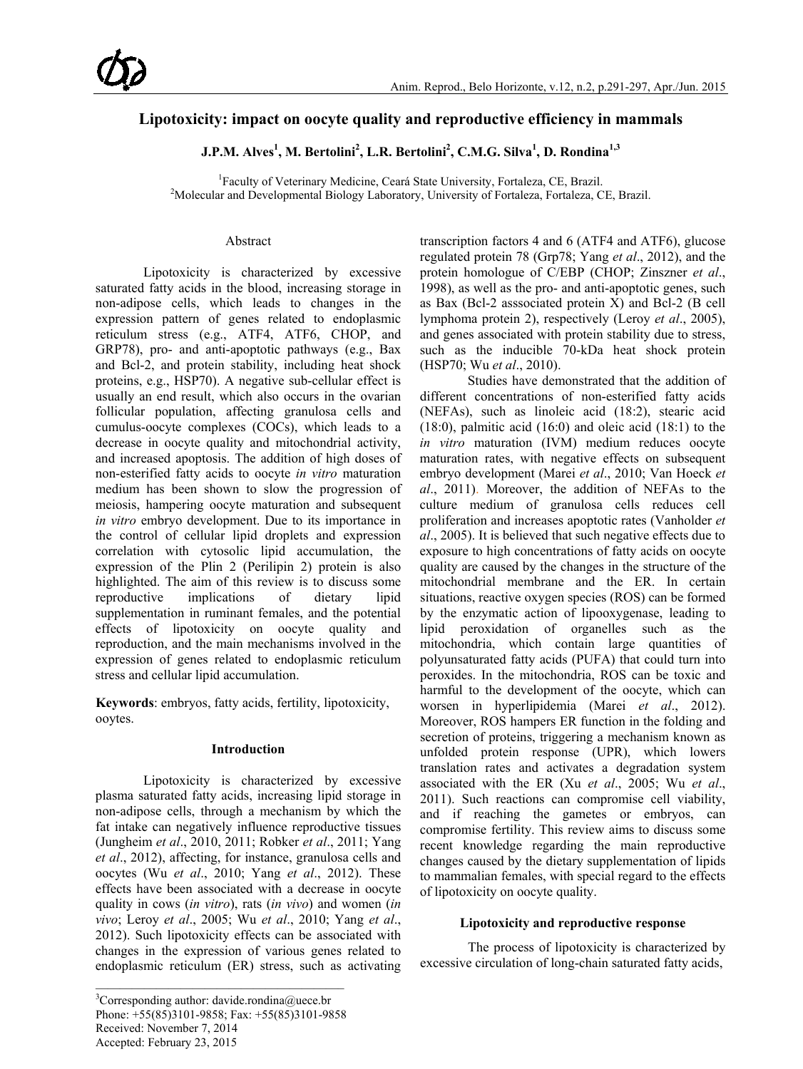# **Lipotoxicity: impact on oocyte quality and reproductive efficiency in mammals**

**J.P.M. Alves1 , M. Bertolini2 , L.R. Bertolini2 , C.M.G. Silva<sup>1</sup> , D. Rondina1,3**

<sup>1</sup> Faculty of Veterinary Medicine, Ceará State University, Fortaleza, CE, Brazil.<br><sup>2</sup>Molecular and Developmental Biology Laboratory, University of Fortaleza, Fortaleza, C <sup>2</sup>Molecular and Developmental Biology Laboratory, University of Fortaleza, Fortaleza, CE, Brazil.

# Abstract

Lipotoxicity is characterized by excessive saturated fatty acids in the blood, increasing storage in non-adipose cells, which leads to changes in the expression pattern of genes related to endoplasmic reticulum stress (e.g., ATF4, ATF6, CHOP, and GRP78), pro- and anti-apoptotic pathways (e.g., Bax and Bcl-2, and protein stability, including heat shock proteins, e.g., HSP70). A negative sub-cellular effect is usually an end result, which also occurs in the ovarian follicular population, affecting granulosa cells and cumulus-oocyte complexes (COCs), which leads to a decrease in oocyte quality and mitochondrial activity, and increased apoptosis. The addition of high doses of non-esterified fatty acids to oocyte *in vitro* maturation medium has been shown to slow the progression of meiosis, hampering oocyte maturation and subsequent *in vitro* embryo development. Due to its importance in the control of cellular lipid droplets and expression correlation with cytosolic lipid accumulation, the expression of the Plin 2 (Perilipin 2) protein is also highlighted. The aim of this review is to discuss some reproductive implications of dietary lipid supplementation in ruminant females, and the potential effects of lipotoxicity on oocyte quality and reproduction, and the main mechanisms involved in the expression of genes related to endoplasmic reticulum stress and cellular lipid accumulation.

**Keywords**: embryos, fatty acids, fertility, lipotoxicity, ooytes.

# **Introduction**

Lipotoxicity is characterized by excessive plasma saturated fatty acids, increasing lipid storage in non-adipose cells, through a mechanism by which the fat intake can negatively influence reproductive tissues (Jungheim *et al*., 2010, 2011; Robker *et al*., 2011; Yang *et al*., 2012), affecting, for instance, granulosa cells and oocytes (Wu *et al*., 2010; Yang *et al*., 2012). These effects have been associated with a decrease in oocyte quality in cows (*in vitro*), rats (*in vivo*) and women (*in vivo*; Leroy *et al*., 2005; Wu *et al*., 2010; Yang *et al*., 2012). Such lipotoxicity effects can be associated with changes in the expression of various genes related to endoplasmic reticulum (ER) stress, such as activating transcription factors 4 and 6 (ATF4 and ATF6), glucose regulated protein 78 (Grp78; Yang *et al*., 2012), and the protein homologue of C/EBP (CHOP; Zinszner *et al*., 1998), as well as the pro- and anti-apoptotic genes, such as Bax (Bcl-2 asssociated protein X) and Bcl-2 (B cell lymphoma protein 2), respectively (Leroy *et al*., 2005), and genes associated with protein stability due to stress, such as the inducible 70-kDa heat shock protein (HSP70; Wu *et al*., 2010).

Studies have demonstrated that the addition of different concentrations of non-esterified fatty acids (NEFAs), such as linoleic acid (18:2), stearic acid  $(18:0)$ , palmitic acid  $(16:0)$  and oleic acid  $(18:1)$  to the *in vitro* maturation (IVM) medium reduces oocyte maturation rates, with negative effects on subsequent embryo development (Marei *et al*., 2010; Van Hoeck *et al*., 2011). Moreover, the addition of NEFAs to the culture medium of granulosa cells reduces cell proliferation and increases apoptotic rates (Vanholder *et al*., 2005). It is believed that such negative effects due to exposure to high concentrations of fatty acids on oocyte quality are caused by the changes in the structure of the mitochondrial membrane and the ER. In certain situations, reactive oxygen species (ROS) can be formed by the enzymatic action of lipooxygenase, leading to lipid peroxidation of organelles such as the mitochondria, which contain large quantities of polyunsaturated fatty acids (PUFA) that could turn into peroxides. In the mitochondria, ROS can be toxic and harmful to the development of the oocyte, which can worsen in hyperlipidemia (Marei *et al*., 2012). Moreover, ROS hampers ER function in the folding and secretion of proteins, triggering a mechanism known as unfolded protein response (UPR), which lowers translation rates and activates a degradation system associated with the ER (Xu *et al*., 2005; Wu *et al*., 2011). Such reactions can compromise cell viability, and if reaching the gametes or embryos, can compromise fertility. This review aims to discuss some recent knowledge regarding the main reproductive changes caused by the dietary supplementation of lipids to mammalian females, with special regard to the effects of lipotoxicity on oocyte quality.

# **Lipotoxicity and reproductive response**

The process of lipotoxicity is characterized by excessive circulation of long-chain saturated fatty acids,

<sup>&</sup>lt;sup>3</sup>Corresponding author: davide.rondina@uece.br Phone: +55(85)3101-9858; Fax: +55(85)3101-9858 Received: November 7, 2014 Accepted: February 23, 2015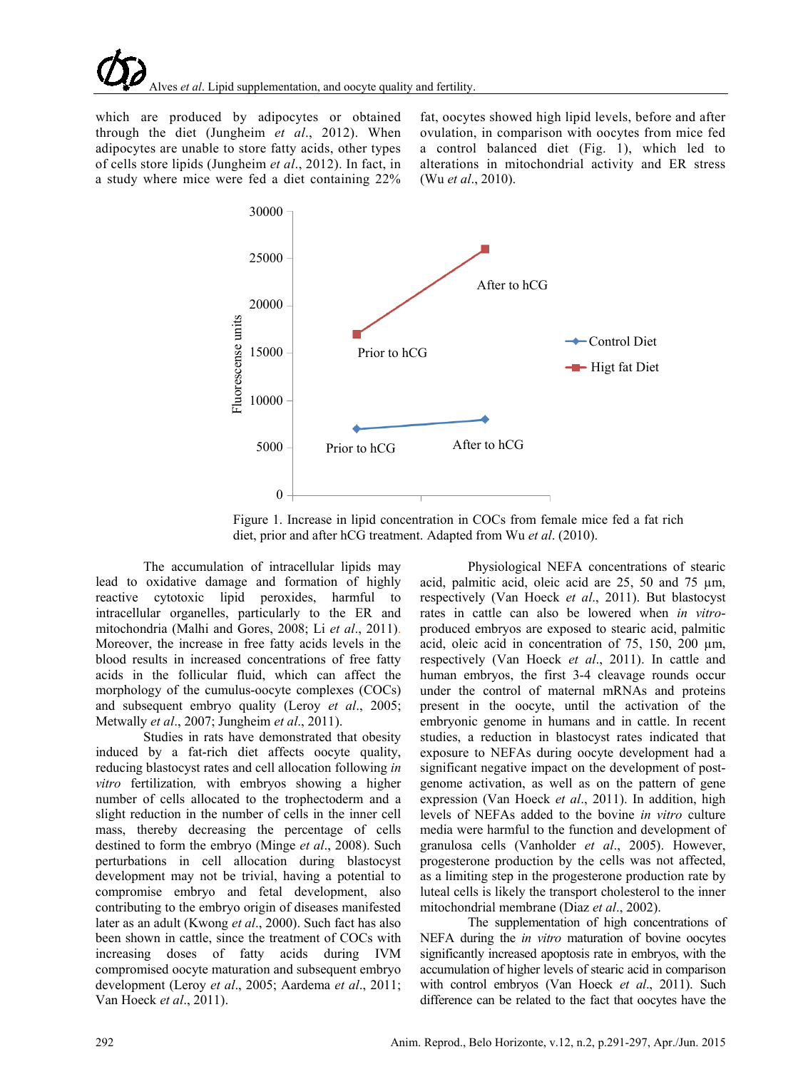which are produced by adipocytes or obtained through the diet (Jungheim *et al*., 2012). When adipocytes are unable to store fatty acids, other types of cells store lipids (Jungheim *et al*., 2012). In fact, in a study where mice were fed a diet containing 22% fat, oocytes showed high lipid levels, before and after ovulation, in comparison with oocytes from mice fed a control balanced diet (Fig. 1), which led to alterations in mitochondrial activity and ER stress (Wu *et al*., 2010).



Figure 1. Increase in lipid concentration in COCs from female mice fed a fat rich diet, prior and after hCG treatment. Adapted from Wu *et al*. (2010).

The accumulation of intracellular lipids may lead to oxidative damage and formation of highly reactive cytotoxic lipid peroxides, harmful to intracellular organelles, particularly to the ER and mitochondria (Malhi and Gores, 2008; Li *et al*., 2011). Moreover, the increase in free fatty acids levels in the blood results in increased concentrations of free fatty acids in the follicular fluid, which can affect the morphology of the cumulus-oocyte complexes (COCs) and subsequent embryo quality (Leroy *et al*., 2005; Metwally *et al*., 2007; Jungheim *et al*., 2011).

Studies in rats have demonstrated that obesity induced by a fat-rich diet affects oocyte quality, reducing blastocyst rates and cell allocation following *in vitro* fertilization*,* with embryos showing a higher number of cells allocated to the trophectoderm and a slight reduction in the number of cells in the inner cell mass, thereby decreasing the percentage of cells destined to form the embryo (Minge *et al*., 2008). Such perturbations in cell allocation during blastocyst development may not be trivial, having a potential to compromise embryo and fetal development, also contributing to the embryo origin of diseases manifested later as an adult (Kwong *et al*., 2000). Such fact has also been shown in cattle, since the treatment of COCs with increasing doses of fatty acids during IVM compromised oocyte maturation and subsequent embryo development (Leroy *et al*., 2005; Aardema *et al*., 2011; Van Hoeck *et al*., 2011).

Physiological NEFA concentrations of stearic acid, palmitic acid, oleic acid are 25, 50 and 75 µm, respectively (Van Hoeck *et al*., 2011). But blastocyst rates in cattle can also be lowered when *in vitro*produced embryos are exposed to stearic acid, palmitic acid, oleic acid in concentration of 75, 150, 200 µm, respectively (Van Hoeck *et al*., 2011). In cattle and human embryos, the first 3-4 cleavage rounds occur under the control of maternal mRNAs and proteins present in the oocyte, until the activation of the embryonic genome in humans and in cattle. In recent studies, a reduction in blastocyst rates indicated that exposure to NEFAs during oocyte development had a significant negative impact on the development of postgenome activation, as well as on the pattern of gene expression (Van Hoeck *et al*., 2011). In addition, high levels of NEFAs added to the bovine *in vitro* culture media were harmful to the function and development of granulosa cells (Vanholder *et al*., 2005). However, progesterone production by the cells was not affected, as a limiting step in the progesterone production rate by luteal cells is likely the transport cholesterol to the inner mitochondrial membrane (Diaz *et al*., 2002).

The supplementation of high concentrations of NEFA during the *in vitro* maturation of bovine oocytes significantly increased apoptosis rate in embryos, with the accumulation of higher levels of stearic acid in comparison with control embryos (Van Hoeck *et al*., 2011). Such difference can be related to the fact that oocytes have the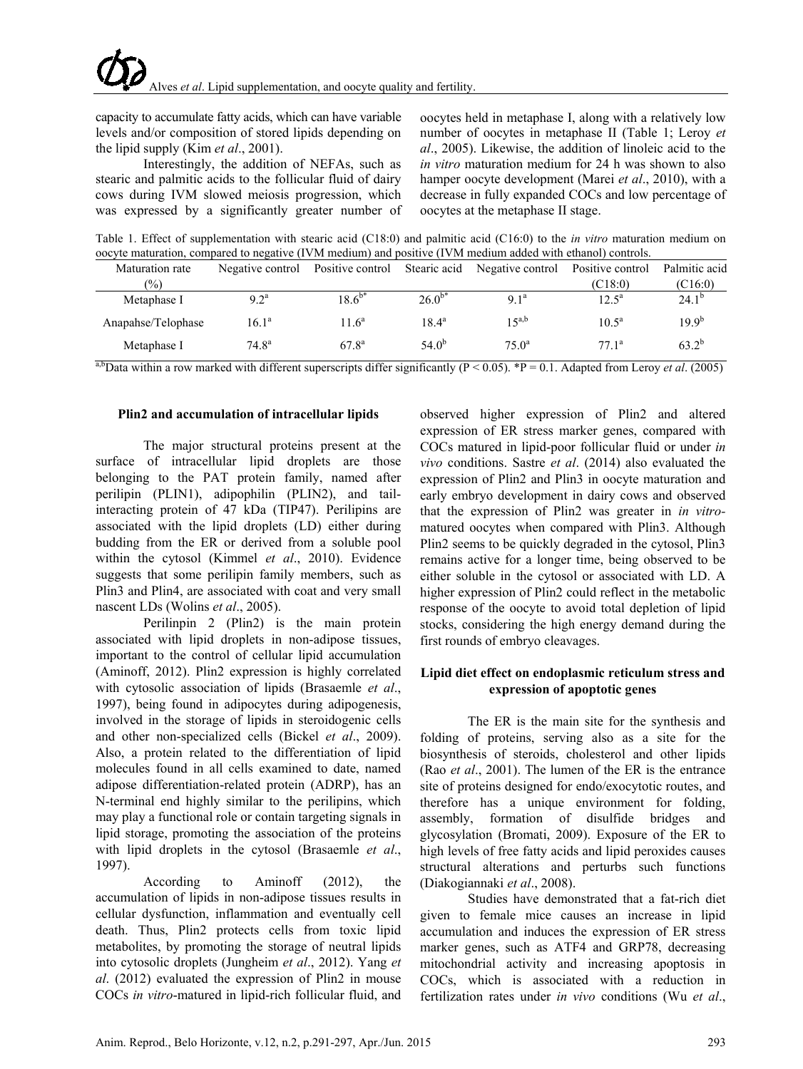capacity to accumulate fatty acids, which can have variable levels and/or composition of stored lipids depending on the lipid supply (Kim *et al*., 2001).

Interestingly, the addition of NEFAs, such as stearic and palmitic acids to the follicular fluid of dairy cows during IVM slowed meiosis progression, which was expressed by a significantly greater number of oocytes held in metaphase I, along with a relatively low number of oocytes in metaphase II (Table 1; Leroy *et al*., 2005). Likewise, the addition of linoleic acid to the *in vitro* maturation medium for 24 h was shown to also hamper oocyte development (Marei *et al*., 2010), with a decrease in fully expanded COCs and low percentage of oocytes at the metaphase II stage.

Table 1. Effect of supplementation with stearic acid (C18:0) and palmitic acid (C16:0) to the *in vitro* maturation medium on oocyte maturation, compared to negative (IVM medium) and positive (IVM medium added with ethanol) controls.

| Maturation rate    | Negative control | Positive control |                | Stearic acid Negative control | Positive control | Palmitic acid    |
|--------------------|------------------|------------------|----------------|-------------------------------|------------------|------------------|
| $(\%)$             |                  |                  |                |                               | (C18:0)          | (C16:0)          |
| Metaphase I        | $9.2^{\rm a}$    | $18.6^{b*}$      | $26.0^{b*}$    | 91 <sup>a</sup>               | $12.5^{\circ}$   | $24.1^{b}$       |
| Anapahse/Telophase | $16.1^a$         | $116^a$          | $18.4^{\circ}$ | 15a,b                         | $10.5^{\rm a}$   | 199 <sup>b</sup> |
| Metaphase I        | $74.8^{\rm a}$   | $67.8^{a}$       | $54.0^{b}$     | $75.0^{\circ}$                | $771^a$          | $63.2^{b}$       |

<sup>a,b</sup>Data within a row marked with different superscripts differ significantly (P < 0.05). \*P = 0.1. Adapted from Leroy *et al.* (2005).

#### **Plin2 and accumulation of intracellular lipids**

The major structural proteins present at the surface of intracellular lipid droplets are those belonging to the PAT protein family, named after perilipin (PLIN1), adipophilin (PLIN2), and tailinteracting protein of 47 kDa (TIP47). Perilipins are associated with the lipid droplets (LD) either during budding from the ER or derived from a soluble pool within the cytosol (Kimmel *et al*., 2010). Evidence suggests that some perilipin family members, such as Plin3 and Plin4, are associated with coat and very small nascent LDs (Wolins *et al*., 2005).

Perilinpin 2 (Plin2) is the main protein associated with lipid droplets in non-adipose tissues, important to the control of cellular lipid accumulation (Aminoff, 2012). Plin2 expression is highly correlated with cytosolic association of lipids (Brasaemle *et al*., 1997), being found in adipocytes during adipogenesis, involved in the storage of lipids in steroidogenic cells and other non-specialized cells (Bickel *et al*., 2009). Also, a protein related to the differentiation of lipid molecules found in all cells examined to date, named adipose differentiation-related protein (ADRP), has an N-terminal end highly similar to the perilipins, which may play a functional role or contain targeting signals in lipid storage, promoting the association of the proteins with lipid droplets in the cytosol (Brasaemle *et al*., 1997).

According to Aminoff (2012), the accumulation of lipids in non-adipose tissues results in cellular dysfunction, inflammation and eventually cell death. Thus, Plin2 protects cells from toxic lipid metabolites, by promoting the storage of neutral lipids into cytosolic droplets (Jungheim *et al*., 2012). Yang *et al*. (2012) evaluated the expression of Plin2 in mouse COCs *in vitro*-matured in lipid-rich follicular fluid, and

observed higher expression of Plin2 and altered expression of ER stress marker genes, compared with COCs matured in lipid-poor follicular fluid or under *in vivo* conditions. Sastre *et al*. (2014) also evaluated the expression of Plin2 and Plin3 in oocyte maturation and early embryo development in dairy cows and observed that the expression of Plin2 was greater in *in vitro*matured oocytes when compared with Plin3. Although Plin2 seems to be quickly degraded in the cytosol, Plin3 remains active for a longer time, being observed to be either soluble in the cytosol or associated with LD. A higher expression of Plin2 could reflect in the metabolic response of the oocyte to avoid total depletion of lipid stocks, considering the high energy demand during the first rounds of embryo cleavages.

# **Lipid diet effect on endoplasmic reticulum stress and expression of apoptotic genes**

The ER is the main site for the synthesis and folding of proteins, serving also as a site for the biosynthesis of steroids, cholesterol and other lipids (Rao *et al*., 2001). The lumen of the ER is the entrance site of proteins designed for endo/exocytotic routes, and therefore has a unique environment for folding, assembly, formation of disulfide bridges and glycosylation (Bromati, 2009). Exposure of the ER to high levels of free fatty acids and lipid peroxides causes structural alterations and perturbs such functions (Diakogiannaki *et al*., 2008).

Studies have demonstrated that a fat-rich diet given to female mice causes an increase in lipid accumulation and induces the expression of ER stress marker genes, such as ATF4 and GRP78, decreasing mitochondrial activity and increasing apoptosis in COCs, which is associated with a reduction in fertilization rates under *in vivo* conditions (Wu *et al*.,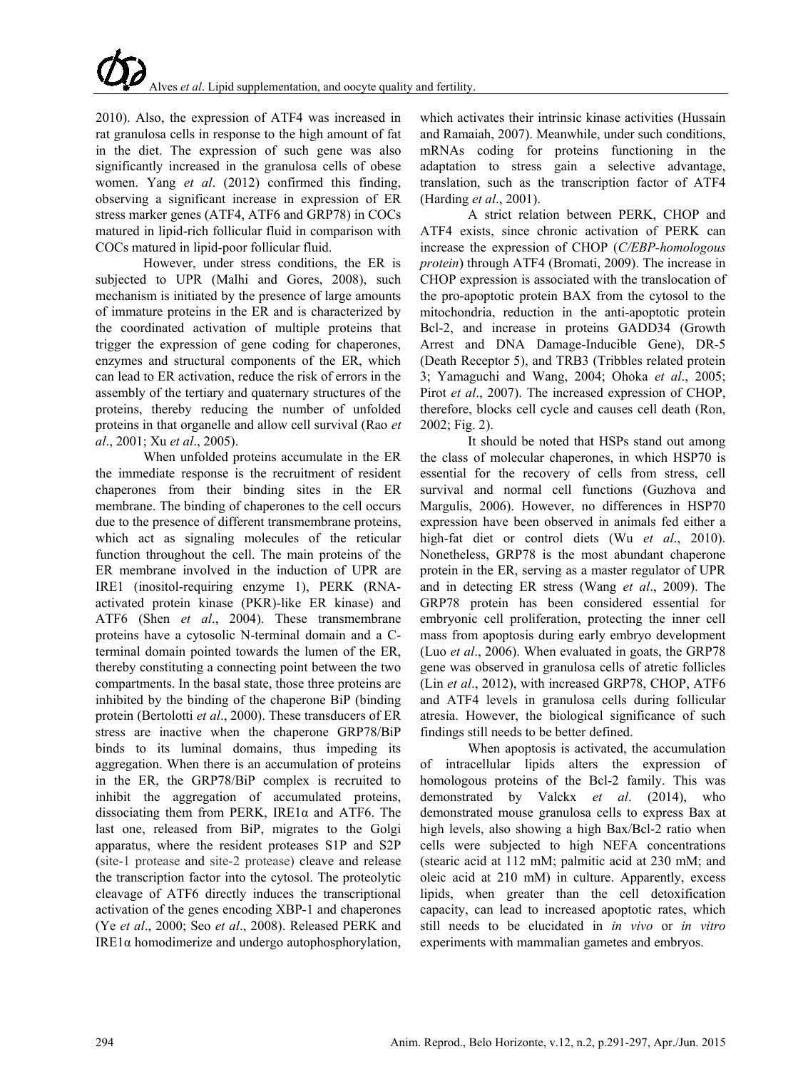2010). Also, the expression of ATF4 was increased in rat granulosa cells in response to the high amount of fat in the diet. The expression of such gene was also significantly increased in the granulosa cells of obese women. Yang *et al*. (2012) confirmed this finding, observing a significant increase in expression of ER stress marker genes (ATF4, ATF6 and GRP78) in COCs matured in lipid-rich follicular fluid in comparison with COCs matured in lipid-poor follicular fluid.

However, under stress conditions, the ER is subjected to UPR (Malhi and Gores, 2008), such mechanism is initiated by the presence of large amounts of immature proteins in the ER and is characterized by the coordinated activation of multiple proteins that trigger the expression of gene coding for chaperones, enzymes and structural components of the ER, which can lead to ER activation, reduce the risk of errors in the assembly of the tertiary and quaternary structures of the proteins, thereby reducing the number of unfolded proteins in that organelle and allow cell survival (Rao *et al*., 2001; Xu *et al*., 2005).

When unfolded proteins accumulate in the ER the immediate response is the recruitment of resident chaperones from their binding sites in the ER membrane. The binding of chaperones to the cell occurs due to the presence of different transmembrane proteins, which act as signaling molecules of the reticular function throughout the cell. The main proteins of the ER membrane involved in the induction of UPR are IRE1 (inositol-requiring enzyme 1), PERK (RNAactivated protein kinase (PKR)-like ER kinase) and ATF6 (Shen *et al*., 2004). These transmembrane proteins have a cytosolic N-terminal domain and a Cterminal domain pointed towards the lumen of the ER, thereby constituting a connecting point between the two compartments. In the basal state, those three proteins are inhibited by the binding of the chaperone BiP (binding protein (Bertolotti *et al*., 2000). These transducers of ER stress are inactive when the chaperone GRP78/BiP binds to its luminal domains, thus impeding its aggregation. When there is an accumulation of proteins in the ER, the GRP78/BiP complex is recruited to inhibit the aggregation of accumulated proteins, dissociating them from PERK, IRE1α and ATF6. The last one, released from BiP, migrates to the Golgi apparatus, where the resident proteases S1P and S2P (site-1 protease and site-2 protease) cleave and release the transcription factor into the cytosol. The proteolytic cleavage of ATF6 directly induces the transcriptional activation of the genes encoding XBP-1 and chaperones (Ye *et al*., 2000; Seo *et al*., 2008). Released PERK and IRE1α homodimerize and undergo autophosphorylation,

which activates their intrinsic kinase activities (Hussain and Ramaiah, 2007). Meanwhile, under such conditions, mRNAs coding for proteins functioning in the adaptation to stress gain a selective advantage, translation, such as the transcription factor of ATF4 (Harding *et al*., 2001).

A strict relation between PERK, CHOP and ATF4 exists, since chronic activation of PERK can increase the expression of CHOP (*C/EBP-homologous protein*) through ATF4 (Bromati, 2009). The increase in CHOP expression is associated with the translocation of the pro-apoptotic protein BAX from the cytosol to the mitochondria, reduction in the anti-apoptotic protein Bcl-2, and increase in proteins GADD34 (Growth Arrest and DNA Damage-Inducible Gene), DR-5 (Death Receptor 5), and TRB3 (Tribbles related protein 3; Yamaguchi and Wang, 2004; Ohoka *et al*., 2005; Pirot *et al*., 2007). The increased expression of CHOP, therefore, blocks cell cycle and causes cell death (Ron, 2002; Fig. 2).

It should be noted that HSPs stand out among the class of molecular chaperones, in which HSP70 is essential for the recovery of cells from stress, cell survival and normal cell functions (Guzhova and Margulis, 2006). However, no differences in HSP70 expression have been observed in animals fed either a high-fat diet or control diets (Wu *et al*., 2010). Nonetheless, GRP78 is the most abundant chaperone protein in the ER, serving as a master regulator of UPR and in detecting ER stress (Wang *et al*., 2009). The GRP78 protein has been considered essential for embryonic cell proliferation, protecting the inner cell mass from apoptosis during early embryo development (Luo *et al*., 2006). When evaluated in goats, the GRP78 gene was observed in granulosa cells of atretic follicles (Lin *et al*., 2012), with increased GRP78, CHOP, ATF6 and ATF4 levels in granulosa cells during follicular atresia. However, the biological significance of such findings still needs to be better defined.

When apoptosis is activated, the accumulation of intracellular lipids alters the expression of homologous proteins of the Bcl-2 family. This was demonstrated by Valckx *et al*. (2014), who demonstrated mouse granulosa cells to express Bax at high levels, also showing a high Bax/Bcl-2 ratio when cells were subjected to high NEFA concentrations (stearic acid at 112 mM; palmitic acid at 230 mM; and oleic acid at 210 mM) in culture. Apparently, excess lipids, when greater than the cell detoxification capacity, can lead to increased apoptotic rates, which still needs to be elucidated in *in vivo* or *in vitro* experiments with mammalian gametes and embryos.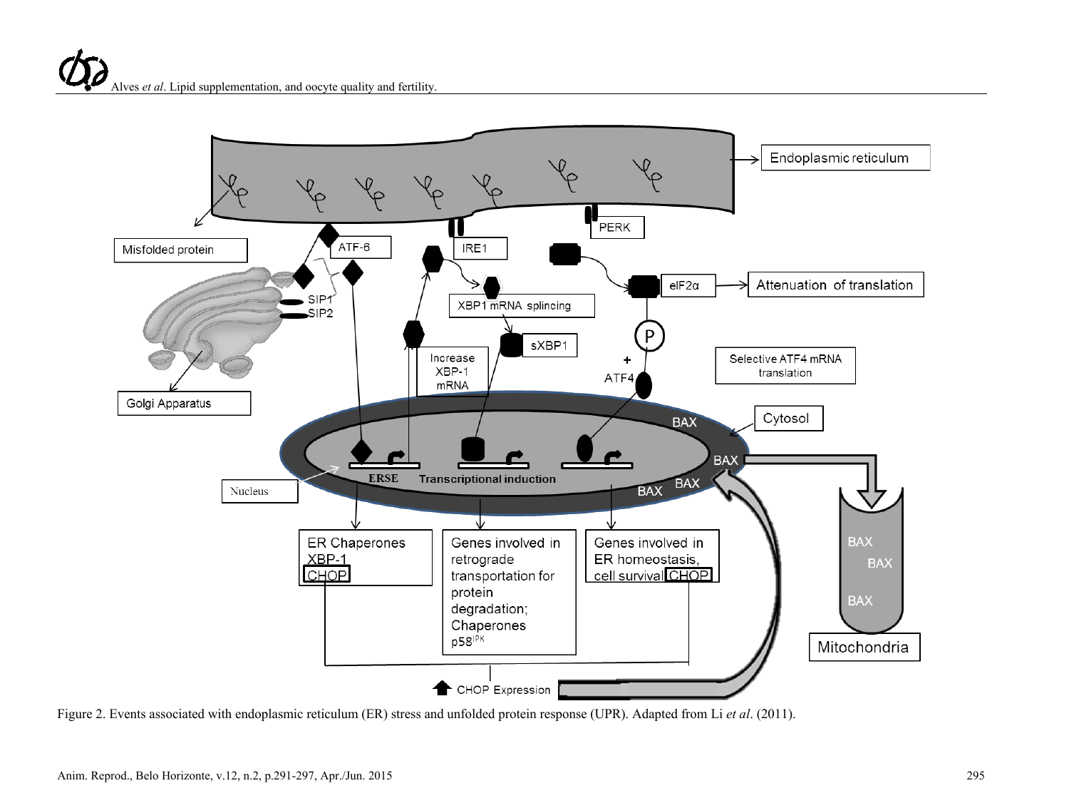

Figure 2. Events associated with endoplasmic reticulum (ER) stress and unfolded protein response (UPR). Adapted from Li *et al*. (2011).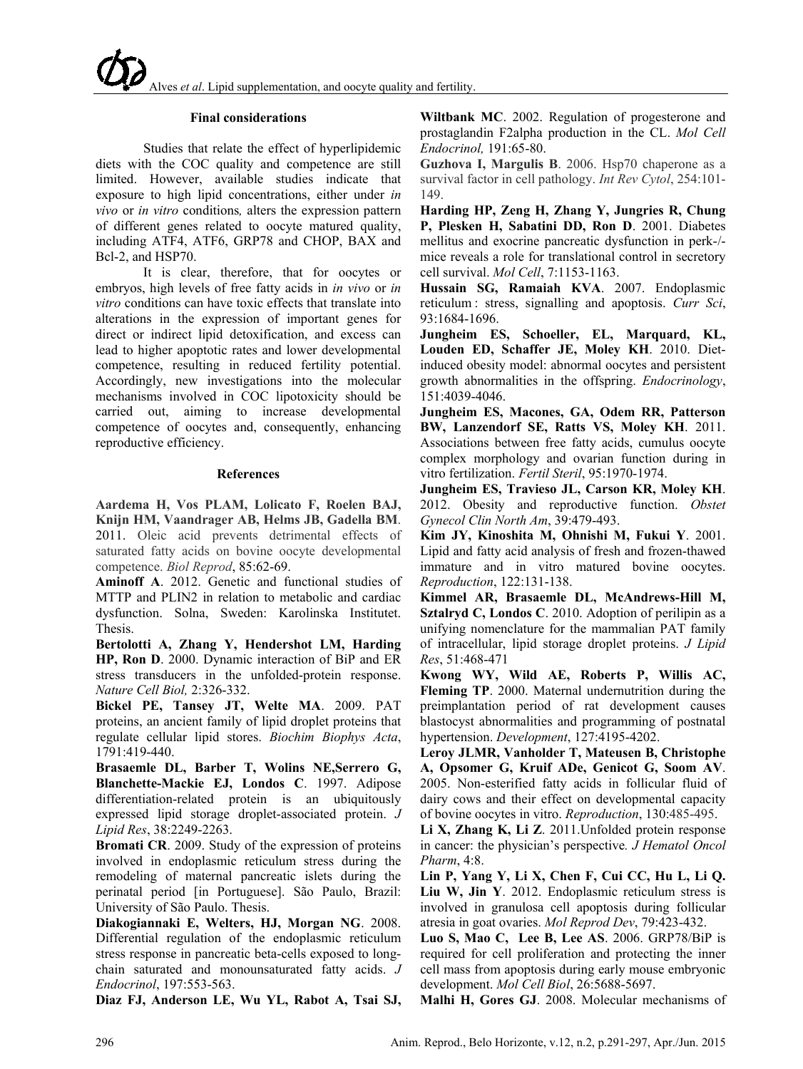### **Final considerations**

Studies that relate the effect of hyperlipidemic diets with the COC quality and competence are still limited. However, available studies indicate that exposure to high lipid concentrations, either under *in vivo* or *in vitro* conditions*,* alters the expression pattern of different genes related to oocyte matured quality, including ATF4, ATF6, GRP78 and CHOP, BAX and Bcl-2, and HSP70.

It is clear, therefore, that for oocytes or embryos, high levels of free fatty acids in *in vivo* or *in vitro* conditions can have toxic effects that translate into alterations in the expression of important genes for direct or indirect lipid detoxification, and excess can lead to higher apoptotic rates and lower developmental competence, resulting in reduced fertility potential. Accordingly, new investigations into the molecular mechanisms involved in COC lipotoxicity should be carried out, aiming to increase developmental competence of oocytes and, consequently, enhancing reproductive efficiency.

### **References**

**Aardema H, Vos PLAM, Lolicato F, Roelen BAJ, Knijn HM, Vaandrager AB, Helms JB, Gadella BM**. 2011. Oleic acid prevents detrimental effects of saturated fatty acids on bovine oocyte developmental competence. *Biol Reprod*, 85:62-69.

**Aminoff A**. 2012. Genetic and functional studies of MTTP and PLIN2 in relation to metabolic and cardiac dysfunction. Solna, Sweden: Karolinska Institutet. Thesis.

**Bertolotti A, Zhang Y, Hendershot LM, Harding HP, Ron D**. 2000. Dynamic interaction of BiP and ER stress transducers in the unfolded-protein response. *Nature Cell Biol,* 2:326-332.

**Bickel PE, Tansey JT, Welte MA**. 2009. PAT proteins, an ancient family of lipid droplet proteins that regulate cellular lipid stores. *Biochim Biophys Acta*, 1791:419-440.

**Brasaemle DL, Barber T, Wolins NE,Serrero G, Blanchette-Mackie EJ, Londos C**. 1997. Adipose differentiation-related protein is an ubiquitously expressed lipid storage droplet-associated protein. *J Lipid Res*, 38:2249-2263.

**Bromati CR**. 2009. Study of the expression of proteins involved in endoplasmic reticulum stress during the remodeling of maternal pancreatic islets during the perinatal period [in Portuguese]. São Paulo, Brazil: University of São Paulo. Thesis.

**Diakogiannaki E, Welters, HJ, Morgan NG**. 2008. Differential regulation of the endoplasmic reticulum stress response in pancreatic beta-cells exposed to longchain saturated and monounsaturated fatty acids. *J Endocrinol*, 197:553-563.

**Diaz FJ, Anderson LE, Wu YL, Rabot A, Tsai SJ,** 

**Wiltbank MC**. 2002. Regulation of progesterone and prostaglandin F2alpha production in the CL. *Mol Cell Endocrinol,* 191:65-80.

**Guzhova I, Margulis B**. 2006. Hsp70 chaperone as a survival factor in cell pathology. *Int Rev Cytol*, 254:101- 149.

**Harding HP, Zeng H, Zhang Y, Jungries R, Chung P, Plesken H, Sabatini DD, Ron D**. 2001. Diabetes mellitus and exocrine pancreatic dysfunction in perk-/ mice reveals a role for translational control in secretory cell survival. *Mol Cell*, 7:1153-1163.

**Hussain SG, Ramaiah KVA**. 2007. Endoplasmic reticulum : stress, signalling and apoptosis. *Curr Sci*, 93:1684-1696.

**Jungheim ES, Schoeller, EL, Marquard, KL, Louden ED, Schaffer JE, Moley KH**. 2010. Dietinduced obesity model: abnormal oocytes and persistent growth abnormalities in the offspring. *Endocrinology*, 151:4039-4046.

**Jungheim ES, Macones, GA, Odem RR, Patterson BW, Lanzendorf SE, Ratts VS, Moley KH**. 2011. Associations between free fatty acids, cumulus oocyte complex morphology and ovarian function during in vitro fertilization. *Fertil Steril*, 95:1970-1974.

**Jungheim ES, Travieso JL, Carson KR, Moley KH**. 2012. Obesity and reproductive function. *Obstet Gynecol Clin North Am*, 39:479-493.

**Kim JY, Kinoshita M, Ohnishi M, Fukui Y**. 2001. Lipid and fatty acid analysis of fresh and frozen-thawed immature and in vitro matured bovine oocytes. *Reproduction*, 122:131-138.

**Kimmel AR, Brasaemle DL, McAndrews-Hill M, Sztalryd C, Londos C**. 2010. Adoption of perilipin as a unifying nomenclature for the mammalian PAT family of intracellular, lipid storage droplet proteins. *J Lipid Res*, 51:468-471

**Kwong WY, Wild AE, Roberts P, Willis AC, Fleming TP**. 2000. Maternal undernutrition during the preimplantation period of rat development causes blastocyst abnormalities and programming of postnatal hypertension. *Development*, 127:4195-4202.

**Leroy JLMR, Vanholder T, Mateusen B, Christophe A, Opsomer G, Kruif ADe, Genicot G, Soom AV**. 2005. Non-esterified fatty acids in follicular fluid of dairy cows and their effect on developmental capacity of bovine oocytes in vitro. *Reproduction*, 130:485-495.

**Li X, Zhang K, Li Z**. 2011.Unfolded protein response in cancer: the physician's perspective*. J Hematol Oncol Pharm*, 4:8.

**Lin P, Yang Y, Li X, Chen F, Cui CC, Hu L, Li Q. Liu W, Jin Y**. 2012. Endoplasmic reticulum stress is involved in granulosa cell apoptosis during follicular atresia in goat ovaries. *Mol Reprod Dev*, 79:423-432.

**Luo S, Mao C, Lee B, Lee AS**. 2006. GRP78/BiP is required for cell proliferation and protecting the inner cell mass from apoptosis during early mouse embryonic development. *Mol Cell Biol*, 26:5688-5697.

**Malhi H, Gores GJ**. 2008. Molecular mechanisms of